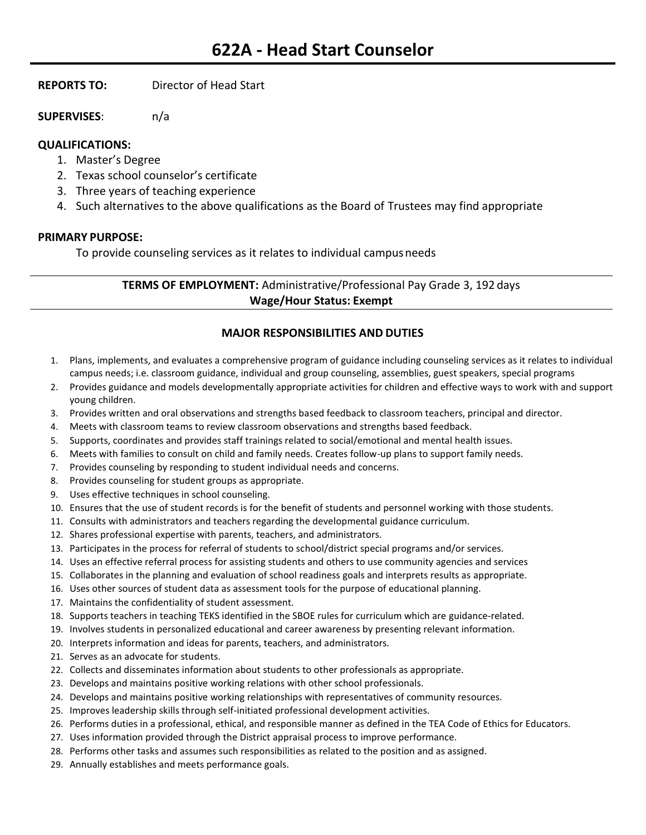**REPORTS TO:** Director of Head Start

**SUPERVISES**: n/a

# **QUALIFICATIONS:**

- 1. Master's Degree
- 2. Texas school counselor's certificate
- 3. Three years of teaching experience
- 4. Such alternatives to the above qualifications as the Board of Trustees may find appropriate

### **PRIMARY PURPOSE:**

To provide counseling services as it relates to individual campusneeds

## **TERMS OF EMPLOYMENT:** Administrative/Professional Pay Grade 3, 192 days **Wage/Hour Status: Exempt**

# **MAJOR RESPONSIBILITIES AND DUTIES**

- 1. Plans, implements, and evaluates a comprehensive program of guidance including counseling services as it relates to individual campus needs; i.e. classroom guidance, individual and group counseling, assemblies, guest speakers, special programs
- 2. Provides guidance and models developmentally appropriate activities for children and effective ways to work with and support young children.
- 3. Provides written and oral observations and strengths based feedback to classroom teachers, principal and director.
- 4. Meets with classroom teams to review classroom observations and strengths based feedback.
- 5. Supports, coordinates and provides staff trainings related to social/emotional and mental health issues.
- 6. Meets with families to consult on child and family needs. Creates follow-up plans to support family needs.
- 7. Provides counseling by responding to student individual needs and concerns.
- 8. Provides counseling for student groups as appropriate.
- 9. Uses effective techniques in school counseling.
- 10. Ensures that the use of student records is for the benefit of students and personnel working with those students.
- 11. Consults with administrators and teachers regarding the developmental guidance curriculum.
- 12. Shares professional expertise with parents, teachers, and administrators.
- 13. Participates in the process for referral of students to school/district special programs and/or services.
- 14. Uses an effective referral process for assisting students and others to use community agencies and services
- 15. Collaborates in the planning and evaluation of school readiness goals and interprets results as appropriate.
- 16. Uses other sources of student data as assessment tools for the purpose of educational planning.
- 17. Maintains the confidentiality of student assessment.
- 18. Supports teachers in teaching TEKS identified in the SBOE rules for curriculum which are guidance-related.
- 19. Involves students in personalized educational and career awareness by presenting relevant information.
- 20. Interprets information and ideas for parents, teachers, and administrators.
- 21. Serves as an advocate for students.
- 22. Collects and disseminates information about students to other professionals as appropriate.
- 23. Develops and maintains positive working relations with other school professionals.
- 24. Develops and maintains positive working relationships with representatives of community resources.
- 25. Improves leadership skills through self-initiated professional development activities.
- 26. Performs duties in a professional, ethical, and responsible manner as defined in the TEA Code of Ethics for Educators.
- 27. Uses information provided through the District appraisal process to improve performance.
- 28. Performs other tasks and assumes such responsibilities as related to the position and as assigned.
- 29. Annually establishes and meets performance goals.